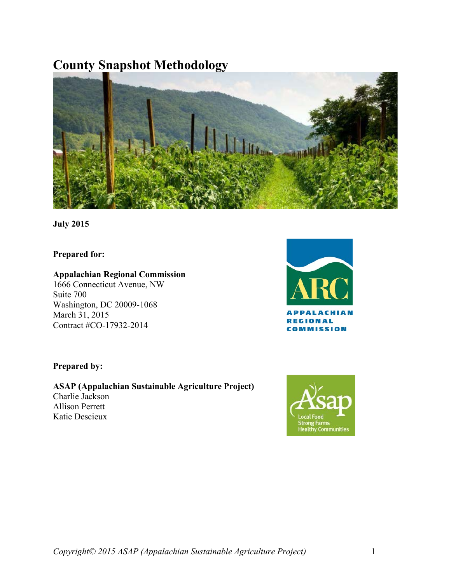# **County Snapshot Methodology**



**July 2015**

**Prepared for:**

## **Appalachian Regional Commission**

1666 Connecticut Avenue, NW Suite 700 Washington, DC 20009-1068 March 31, 2015 Contract #CO-17932-2014



## **Prepared by:**

**ASAP (Appalachian Sustainable Agriculture Project)** Charlie Jackson Allison Perrett Katie Descieux

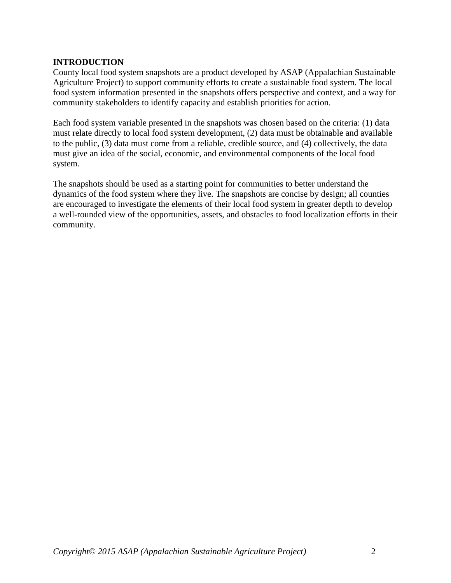## <span id="page-1-0"></span>**INTRODUCTION**

County local food system snapshots are a product developed by ASAP (Appalachian Sustainable Agriculture Project) to support community efforts to create a sustainable food system. The local food system information presented in the snapshots offers perspective and context, and a way for community stakeholders to identify capacity and establish priorities for action.

Each food system variable presented in the snapshots was chosen based on the criteria: (1) data must relate directly to local food system development, (2) data must be obtainable and available to the public, (3) data must come from a reliable, credible source, and (4) collectively, the data must give an idea of the social, economic, and environmental components of the local food system.

The snapshots should be used as a starting point for communities to better understand the dynamics of the food system where they live. The snapshots are concise by design; all counties are encouraged to investigate the elements of their local food system in greater depth to develop a well-rounded view of the opportunities, assets, and obstacles to food localization efforts in their community.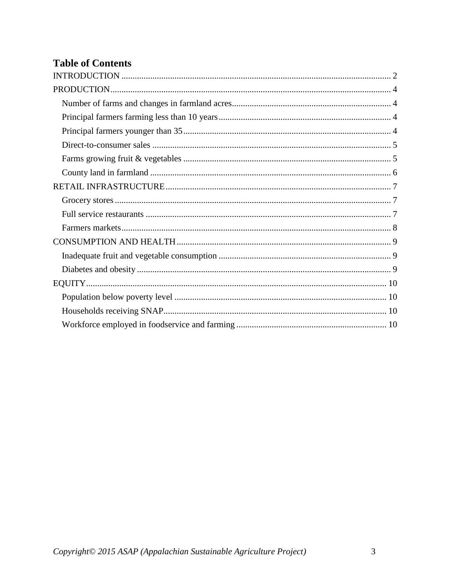## **Table of Contents**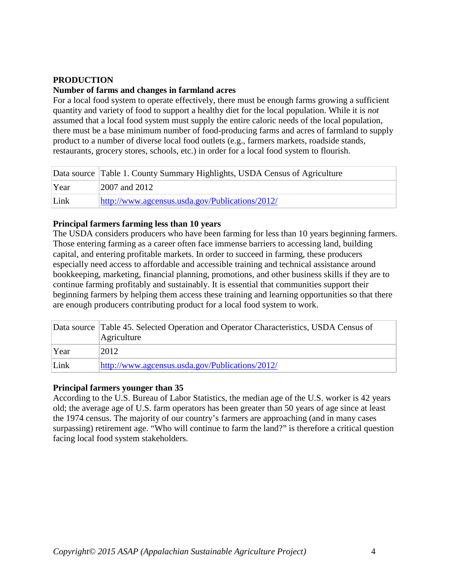## <span id="page-3-0"></span>**PRODUCTION**

#### <span id="page-3-1"></span>**Number of farms and changes in farmland acres**

For a local food system to operate effectively, there must be enough farms growing a sufficient quantity and variety of food to support a healthy diet for the local population. While it is *not*  assumed that a local food system must supply the entire caloric needs of the local population, there must be a base minimum number of food-producing farms and acres of farmland to supply product to a number of diverse local food outlets (e.g., farmers markets, roadside stands, restaurants, grocery stores, schools, etc.) in order for a local food system to flourish.

|      | Data source Table 1. County Summary Highlights, USDA Census of Agriculture |
|------|----------------------------------------------------------------------------|
| Year | 2007 and 2012                                                              |
| Link | http://www.agcensus.usda.gov/Publications/2012/                            |

## <span id="page-3-2"></span>**Principal farmers farming less than 10 years**

The USDA considers producers who have been farming for less than 10 years beginning farmers. Those entering farming as a career often face immense barriers to accessing land, building capital, and entering profitable markets. In order to succeed in farming, these producers especially need access to affordable and accessible training and technical assistance around bookkeeping, marketing, financial planning, promotions, and other business skills if they are to continue farming profitably and sustainably. It is essential that communities support their beginning farmers by helping them access these training and learning opportunities so that there are enough producers contributing product for a local food system to work.

|      | Data source Table 45. Selected Operation and Operator Characteristics, USDA Census of<br>Agriculture |
|------|------------------------------------------------------------------------------------------------------|
| Year | 2012                                                                                                 |
| Link | http://www.agcensus.usda.gov/Publications/2012/                                                      |

## <span id="page-3-3"></span>**Principal farmers younger than 35**

According to the U.S. Bureau of Labor Statistics, the median age of the U.S. worker is 42 years old; the average age of U.S. farm operators has been greater than 50 years of age since at least the 1974 census. The majority of our country's farmers are approaching (and in many cases surpassing) retirement age. "Who will continue to farm the land?" is therefore a critical question facing local food system stakeholders.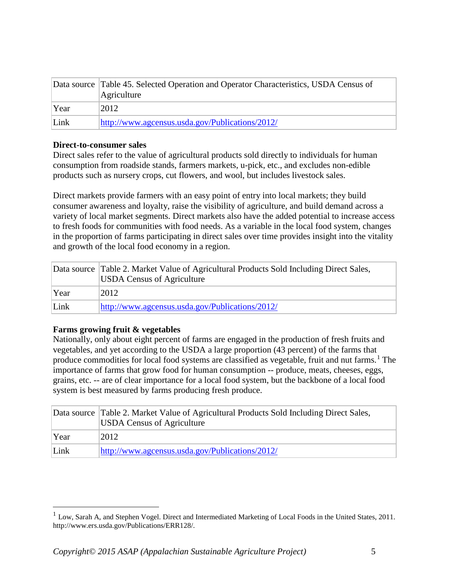|      | Data source Table 45. Selected Operation and Operator Characteristics, USDA Census of<br>Agriculture |
|------|------------------------------------------------------------------------------------------------------|
| Year | 2012                                                                                                 |
| Link | http://www.agcensus.usda.gov/Publications/2012/                                                      |

#### <span id="page-4-0"></span>**Direct-to-consumer sales**

Direct sales refer to the value of agricultural products sold directly to individuals for human consumption from roadside stands, farmers markets, u-pick, etc., and excludes non-edible products such as nursery crops, cut flowers, and wool, but includes livestock sales.

Direct markets provide farmers with an easy point of entry into local markets; they build consumer awareness and loyalty, raise the visibility of agriculture, and build demand across a variety of local market segments. Direct markets also have the added potential to increase access to fresh foods for communities with food needs. As a variable in the local food system, changes in the proportion of farms participating in direct sales over time provides insight into the vitality and growth of the local food economy in a region.

|      | Data source Table 2. Market Value of Agricultural Products Sold Including Direct Sales,<br><b>USDA Census of Agriculture</b> |
|------|------------------------------------------------------------------------------------------------------------------------------|
| Year | 2012                                                                                                                         |
| Link | http://www.agcensus.usda.gov/Publications/2012/                                                                              |

## <span id="page-4-1"></span>**Farms growing fruit & vegetables**

 $\overline{a}$ 

Nationally, only about eight percent of farms are engaged in the production of fresh fruits and vegetables, and yet according to the USDA a large proportion (43 percent) of the farms that produce commodities for local food systems are classified as vegetable, fruit and nut farms.<sup>[1](#page-4-2)</sup> The importance of farms that grow food for human consumption -- produce, meats, cheeses, eggs, grains, etc. -- are of clear importance for a local food system, but the backbone of a local food system is best measured by farms producing fresh produce.

|      | Data source Table 2. Market Value of Agricultural Products Sold Including Direct Sales,<br><b>USDA Census of Agriculture</b> |
|------|------------------------------------------------------------------------------------------------------------------------------|
| Year | 2012                                                                                                                         |
| Link | http://www.agcensus.usda.gov/Publications/2012/                                                                              |

<span id="page-4-2"></span><sup>&</sup>lt;sup>1</sup> Low, Sarah A, and Stephen Vogel. Direct and Intermediated Marketing of Local Foods in the United States, 2011. http://www.ers.usda.gov/Publications/ERR128/.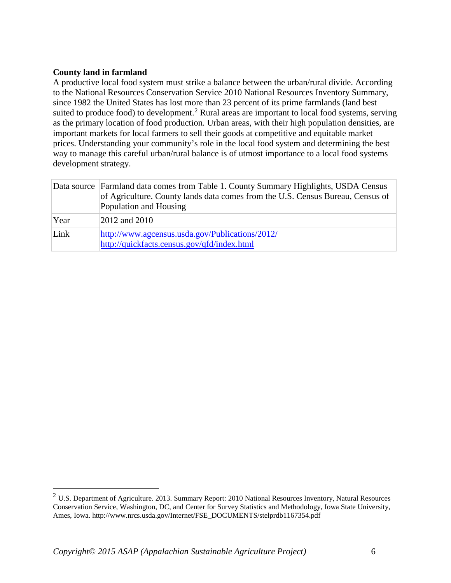## <span id="page-5-0"></span>**County land in farmland**

 $\overline{a}$ 

A productive local food system must strike a balance between the urban/rural divide. According to the National Resources Conservation Service 2010 National Resources Inventory Summary, since 1982 the United States has lost more than 23 percent of its prime farmlands (land best suited to produce food) to development.<sup>[2](#page-5-1)</sup> Rural areas are important to local food systems, serving as the primary location of food production. Urban areas, with their high population densities, are important markets for local farmers to sell their goods at competitive and equitable market prices. Understanding your community's role in the local food system and determining the best way to manage this careful urban/rural balance is of utmost importance to a local food systems development strategy.

|      | Data source Farmland data comes from Table 1. County Summary Highlights, USDA Census<br>of Agriculture. County lands data comes from the U.S. Census Bureau, Census of<br>Population and Housing |
|------|--------------------------------------------------------------------------------------------------------------------------------------------------------------------------------------------------|
| Year | 2012 and 2010                                                                                                                                                                                    |
| Link | http://www.agcensus.usda.gov/Publications/2012/<br>http://quickfacts.census.gov/qfd/index.html                                                                                                   |

<span id="page-5-1"></span> $2$  U.S. Department of Agriculture. 2013. Summary Report: 2010 National Resources Inventory, Natural Resources Conservation Service, Washington, DC, and Center for Survey Statistics and Methodology, Iowa State University, Ames, Iowa. http://www.nrcs.usda.gov/Internet/FSE\_DOCUMENTS/stelprdb1167354.pdf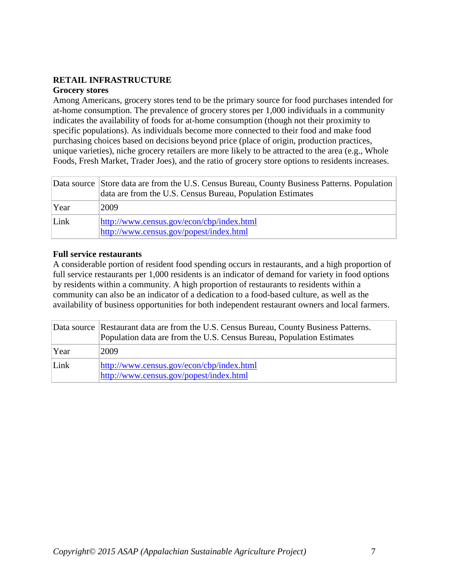## <span id="page-6-0"></span>**RETAIL INFRASTRUCTURE**

#### <span id="page-6-1"></span>**Grocery stores**

Among Americans, grocery stores tend to be the primary source for food purchases intended for at-home consumption. The prevalence of grocery stores per 1,000 individuals in a community indicates the availability of foods for at-home consumption (though not their proximity to specific populations). As individuals become more connected to their food and make food purchasing choices based on decisions beyond price (place of origin, production practices, unique varieties), niche grocery retailers are more likely to be attracted to the area (e.g., Whole Foods, Fresh Market, Trader Joes), and the ratio of grocery store options to residents increases.

|      | Data source Store data are from the U.S. Census Bureau, County Business Patterns. Population<br>data are from the U.S. Census Bureau, Population Estimates |
|------|------------------------------------------------------------------------------------------------------------------------------------------------------------|
| Year | 2009                                                                                                                                                       |
| Link | http://www.census.gov/econ/cbp/index.html<br>http://www.census.gov/popest/index.html                                                                       |

#### <span id="page-6-2"></span>**Full service restaurants**

A considerable portion of resident food spending occurs in restaurants, and a high proportion of full service restaurants per 1,000 residents is an indicator of demand for variety in food options by residents within a community. A high proportion of restaurants to residents within a community can also be an indicator of a dedication to a food-based culture, as well as the availability of business opportunities for both independent restaurant owners and local farmers.

|      | Data source Restaurant data are from the U.S. Census Bureau, County Business Patterns.<br>Population data are from the U.S. Census Bureau, Population Estimates |
|------|-----------------------------------------------------------------------------------------------------------------------------------------------------------------|
| Year | 2009                                                                                                                                                            |
| Link | http://www.census.gov/econ/cbp/index.html<br>http://www.census.gov/popest/index.html                                                                            |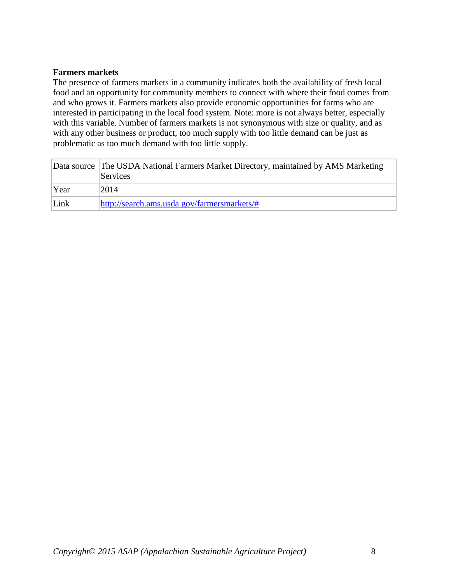#### <span id="page-7-0"></span>**Farmers markets**

The presence of farmers markets in a community indicates both the availability of fresh local food and an opportunity for community members to connect with where their food comes from and who grows it. Farmers markets also provide economic opportunities for farms who are interested in participating in the local food system. Note: more is not always better, especially with this variable. Number of farmers markets is not synonymous with size or quality, and as with any other business or product, too much supply with too little demand can be just as problematic as too much demand with too little supply.

|      | Data source The USDA National Farmers Market Directory, maintained by AMS Marketing<br>Services |
|------|-------------------------------------------------------------------------------------------------|
| Year | 2014                                                                                            |
| Link | http://search.ams.usda.gov/farmersmarkets/#                                                     |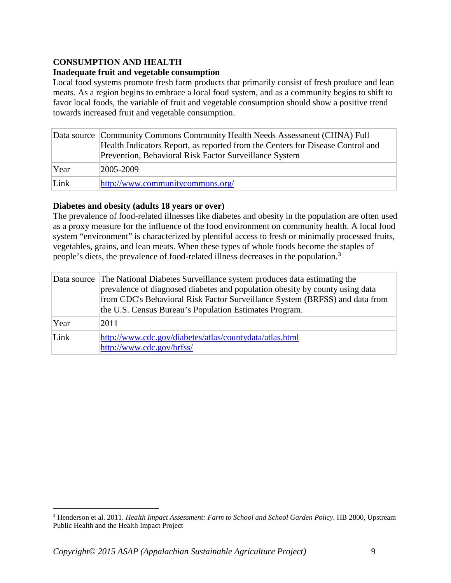## <span id="page-8-0"></span>**CONSUMPTION AND HEALTH**

#### <span id="page-8-1"></span>**Inadequate fruit and vegetable consumption**

Local food systems promote fresh farm products that primarily consist of fresh produce and lean meats. As a region begins to embrace a local food system, and as a community begins to shift to favor local foods, the variable of fruit and vegetable consumption should show a positive trend towards increased fruit and vegetable consumption.

|      | Data source Community Commons Community Health Needs Assessment (CHNA) Full<br>Health Indicators Report, as reported from the Centers for Disease Control and<br>Prevention, Behavioral Risk Factor Surveillance System |
|------|-------------------------------------------------------------------------------------------------------------------------------------------------------------------------------------------------------------------------|
| Year | 2005-2009                                                                                                                                                                                                               |
| Link | http://www.communitycommons.org/                                                                                                                                                                                        |

#### <span id="page-8-2"></span>**Diabetes and obesity (adults 18 years or over)**

The prevalence of food-related illnesses like diabetes and obesity in the population are often used as a proxy measure for the influence of the food environment on community health. A local food system "environment" is characterized by plentiful access to fresh or minimally processed fruits, vegetables, grains, and lean meats. When these types of whole foods become the staples of people's diets, the prevalence of food-related illness decreases in the population.[3](#page-8-3)

|      | Data source The National Diabetes Surveillance system produces data estimating the<br>prevalence of diagnosed diabetes and population obesity by county using data<br>from CDC's Behavioral Risk Factor Surveillance System (BRFSS) and data from<br>the U.S. Census Bureau's Population Estimates Program. |
|------|-------------------------------------------------------------------------------------------------------------------------------------------------------------------------------------------------------------------------------------------------------------------------------------------------------------|
| Year | 2011                                                                                                                                                                                                                                                                                                        |
| Link | http://www.cdc.gov/diabetes/atlas/countydata/atlas.html<br>http://www.cdc.gov/brfss/                                                                                                                                                                                                                        |

 $\overline{a}$ 

<span id="page-8-3"></span><sup>3</sup> Henderson et al. 2011. *Health Impact Assessment: Farm to School and School Garden Policy.* HB 2800, Upstream Public Health and the Health Impact Project